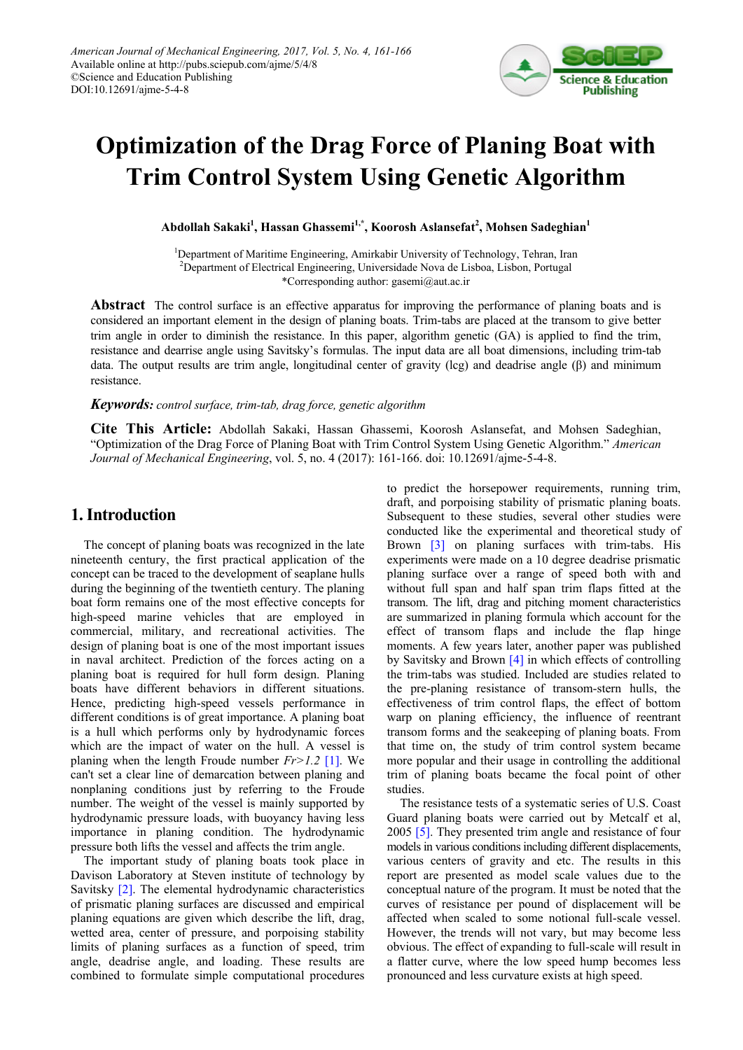

# **Optimization of the Drag Force of Planing Boat with Trim Control System Using Genetic Algorithm**

**Abdollah Sakaki1 , Hassan Ghassemi1,\* , Koorosh Aslansefat<sup>2</sup> , Mohsen Sadeghian<sup>1</sup>**

<sup>1</sup>Department of Maritime Engineering, Amirkabir University of Technology, Tehran, Iran <sup>2</sup>Department of Electrical Engineering, Universidade Nova de Lisboa, Lisbon, Portugal \*Corresponding author: gasemi@aut.ac.ir

**Abstract** The control surface is an effective apparatus for improving the performance of planing boats and is considered an important element in the design of planing boats. Trim-tabs are placed at the transom to give better trim angle in order to diminish the resistance. In this paper, algorithm genetic (GA) is applied to find the trim, resistance and dearrise angle using Savitsky's formulas. The input data are all boat dimensions, including trim-tab data. The output results are trim angle, longitudinal center of gravity (lcg) and deadrise angle (β) and minimum resistance.

### *Keywords: control surface, trim-tab, drag force, genetic algorithm*

**Cite This Article:** Abdollah Sakaki, Hassan Ghassemi, Koorosh Aslansefat, and Mohsen Sadeghian, "Optimization of the Drag Force of Planing Boat with Trim Control System Using Genetic Algorithm." *American Journal of Mechanical Engineering*, vol. 5, no. 4 (2017): 161-166. doi: 10.12691/ajme-5-4-8.

## **1. Introduction**

The concept of planing boats was recognized in the late nineteenth century, the first practical application of the concept can be traced to the development of seaplane hulls during the beginning of the twentieth century. The planing boat form remains one of the most effective concepts for high-speed marine vehicles that are employed in commercial, military, and recreational activities. The design of planing boat is one of the most important issues in naval architect. Prediction of the forces acting on a planing boat is required for hull form design. Planing boats have different behaviors in different situations. Hence, predicting high-speed vessels performance in different conditions is of great importance. A planing boat is a hull which performs only by hydrodynamic forces which are the impact of water on the hull. A vessel is planing when the length Froude number *Fr>1.2* [\[1\].](#page-5-0) We can't set a clear line of demarcation between planing and nonplaning conditions just by referring to the Froude number. The weight of the vessel is mainly supported by hydrodynamic pressure loads, with buoyancy having less importance in planing condition. The hydrodynamic pressure both lifts the vessel and affects the trim angle.

The important study of planing boats took place in Davison Laboratory at Steven institute of technology by Savitsky [\[2\].](#page-5-1) The elemental hydrodynamic characteristics of prismatic planing surfaces are discussed and empirical planing equations are given which describe the lift, drag, wetted area, center of pressure, and porpoising stability limits of planing surfaces as a function of speed, trim angle, deadrise angle, and loading. These results are combined to formulate simple computational procedures to predict the horsepower requirements, running trim, draft, and porpoising stability of prismatic planing boats. Subsequent to these studies, several other studies were conducted like the experimental and theoretical study of Brown [\[3\]](#page-5-2) on planing surfaces with trim-tabs. His experiments were made on a 10 degree deadrise prismatic planing surface over a range of speed both with and without full span and half span trim flaps fitted at the transom. The lift, drag and pitching moment characteristics are summarized in planing formula which account for the effect of transom flaps and include the flap hinge moments. A few years later, another paper was published by Savitsky and Brown [\[4\]](#page-5-3) in which effects of controlling the trim-tabs was studied. Included are studies related to the pre-planing resistance of transom-stern hulls, the effectiveness of trim control flaps, the effect of bottom warp on planing efficiency, the influence of reentrant transom forms and the seakeeping of planing boats. From that time on, the study of trim control system became more popular and their usage in controlling the additional trim of planing boats became the focal point of other studies.

The resistance tests of a systematic series of U.S. Coast Guard planing boats were carried out by Metcalf et al, 2005 [\[5\].](#page-5-4) They presented trim angle and resistance of four models in various conditions including different displacements, various centers of gravity and etc. The results in this report are presented as model scale values due to the conceptual nature of the program. It must be noted that the curves of resistance per pound of displacement will be affected when scaled to some notional full-scale vessel. However, the trends will not vary, but may become less obvious. The effect of expanding to full-scale will result in a flatter curve, where the low speed hump becomes less pronounced and less curvature exists at high speed.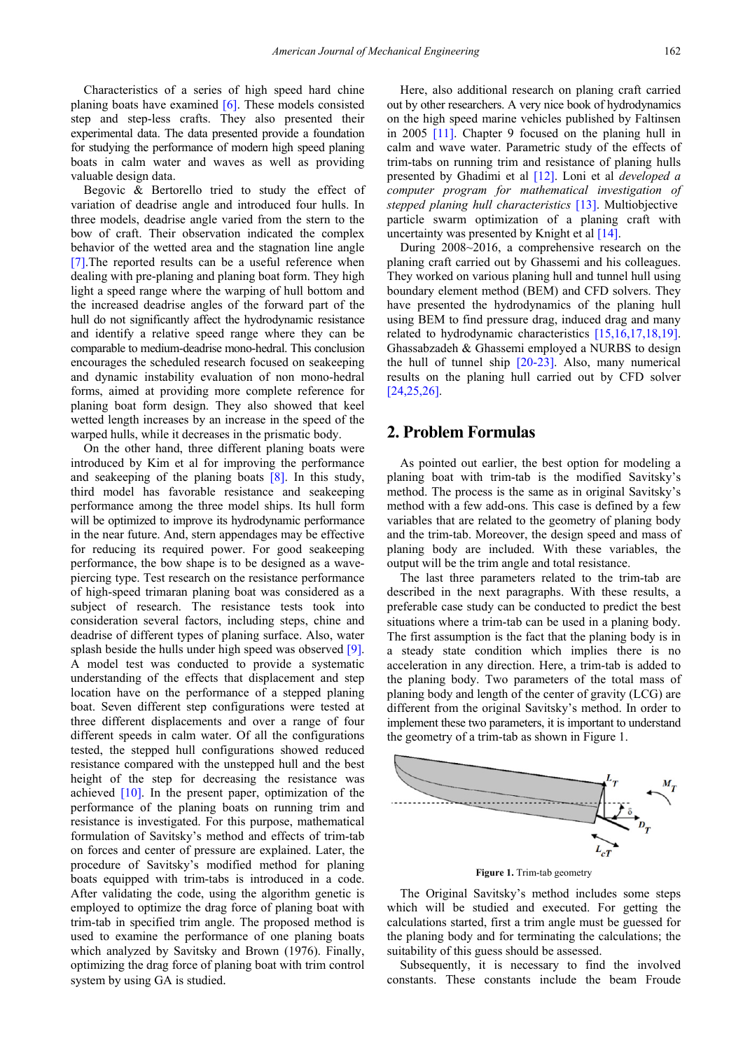Characteristics of a series of high speed hard chine planing boats have examined [\[6\].](#page-5-5) These models consisted step and step-less crafts. They also presented their experimental data. The data presented provide a foundation for studying the performance of modern high speed planing boats in calm water and waves as well as providing valuable design data.

Begovic & Bertorello tried to study the effect of variation of deadrise angle and introduced four hulls. In three models, deadrise angle varied from the stern to the bow of craft. Their observation indicated the complex behavior of the wetted area and the stagnation line angle [\[7\].T](#page-5-6)he reported results can be a useful reference when dealing with pre-planing and planing boat form. They high light a speed range where the warping of hull bottom and the increased deadrise angles of the forward part of the hull do not significantly affect the hydrodynamic resistance and identify a relative speed range where they can be comparable to medium-deadrise mono-hedral. This conclusion encourages the scheduled research focused on seakeeping and dynamic instability evaluation of non mono-hedral forms, aimed at providing more complete reference for planing boat form design. They also showed that keel wetted length increases by an increase in the speed of the warped hulls, while it decreases in the prismatic body.

On the other hand, three different planing boats were introduced by Kim et al for improving the performance and seakeeping of the planing boats [\[8\].](#page-5-7) In this study, third model has favorable resistance and seakeeping performance among the three model ships. Its hull form will be optimized to improve its hydrodynamic performance in the near future. And, stern appendages may be effective for reducing its required power. For good seakeeping performance, the bow shape is to be designed as a wavepiercing type. Test research on the resistance performance of high-speed trimaran planing boat was considered as a subject of research. The resistance tests took into consideration several factors, including steps, chine and deadrise of different types of planing surface. Also, water splash beside the hulls under high speed was observed [\[9\].](#page-5-8) A model test was conducted to provide a systematic understanding of the effects that displacement and step location have on the performance of a stepped planing boat. Seven different step configurations were tested at three different displacements and over a range of four different speeds in calm water. Of all the configurations tested, the stepped hull configurations showed reduced resistance compared with the unstepped hull and the best height of the step for decreasing the resistance was achieved [\[10\].](#page-5-9) In the present paper, optimization of the performance of the planing boats on running trim and resistance is investigated. For this purpose, mathematical formulation of Savitsky's method and effects of trim-tab on forces and center of pressure are explained. Later, the procedure of Savitsky's modified method for planing boats equipped with trim-tabs is introduced in a code. After validating the code, using the algorithm genetic is employed to optimize the drag force of planing boat with trim-tab in specified trim angle. The proposed method is used to examine the performance of one planing boats which analyzed by Savitsky and Brown (1976). Finally, optimizing the drag force of planing boat with trim control system by using GA is studied.

Here, also additional research on planing craft carried out by other researchers. A very nice book of hydrodynamics on the high speed marine vehicles published by Faltinsen in 2005 [\[11\].](#page-5-10) Chapter 9 focused on the planing hull in calm and wave water. Parametric study of the effects of trim-tabs on running trim and resistance of planing hulls presented by Ghadimi et al [\[12\].](#page-5-11) Loni et al *developed a computer program for mathematical investigation of stepped planing hull characteristics* [\[13\].](#page-5-12) Multiobjective particle swarm optimization of a planing craft with uncertainty was presented by Knight et al  $[14]$ .

During 2008~2016, a comprehensive research on the planing craft carried out by Ghassemi and his colleagues. They worked on various planing hull and tunnel hull using boundary element method (BEM) and CFD solvers. They have presented the hydrodynamics of the planing hull using BEM to find pressure drag, induced drag and many related to hydrodynamic characteristics [\[15,16,17,18,19\].](#page-5-14) Ghassabzadeh & Ghassemi employed a NURBS to design the hull of tunnel ship [\[20-23\].](#page-5-15) Also, many numerical results on the planing hull carried out by CFD solver [\[24,25,26\].](#page-5-16)

## **2. Problem Formulas**

As pointed out earlier, the best option for modeling a planing boat with trim-tab is the modified Savitsky's method. The process is the same as in original Savitsky's method with a few add-ons. This case is defined by a few variables that are related to the geometry of planing body and the trim-tab. Moreover, the design speed and mass of planing body are included. With these variables, the output will be the trim angle and total resistance.

The last three parameters related to the trim-tab are described in the next paragraphs. With these results, a preferable case study can be conducted to predict the best situations where a trim-tab can be used in a planing body. The first assumption is the fact that the planing body is in a steady state condition which implies there is no acceleration in any direction. Here, a trim-tab is added to the planing body. Two parameters of the total mass of planing body and length of the center of gravity (LCG) are different from the original Savitsky's method. In order to implement these two parameters, it is important to understand the geometry of a trim-tab as shown in Figure 1.



**Figure 1.** Trim-tab geometry

The Original Savitsky's method includes some steps which will be studied and executed. For getting the calculations started, first a trim angle must be guessed for the planing body and for terminating the calculations; the suitability of this guess should be assessed.

Subsequently, it is necessary to find the involved constants. These constants include the beam Froude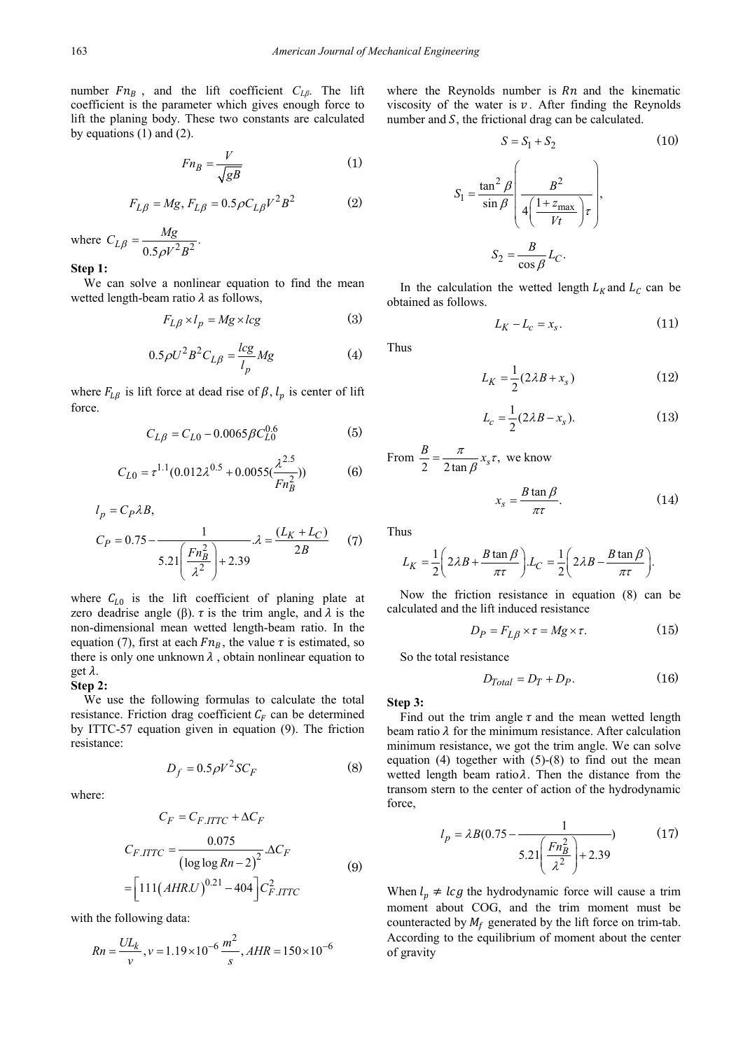number  $Fn_B$ , and the lift coefficient  $C_{L\beta}$ . The lift coefficient is the parameter which gives enough force to lift the planing body. These two constants are calculated by equations (1) and (2).

$$
Fn_B = \frac{V}{\sqrt{gB}}\tag{1}
$$

$$
F_{L\beta}=Mg, F_{L\beta}=0.5\rho C_{L\beta}V^2B^2 \eqno(2)
$$

where  $C_{L\beta} = \frac{Mg}{0.5 \rho V^2 B^2}$ .  $\beta = \frac{M_S}{0.5 \rho V^2 B}$ 

**Step 1:**

We can solve a nonlinear equation to find the mean wetted length-beam ratio  $\lambda$  as follows,

$$
F_{L\beta} \times l_p = Mg \times lcg \tag{3}
$$

$$
0.5\rho U^2 B^2 C_{L\beta} = \frac{lcg}{l_p} Mg
$$
 (4)

where  $F_{L\beta}$  is lift force at dead rise of  $\beta$ ,  $l_p$  is center of lift force.

$$
C_{L\beta} = C_{L0} - 0.0065 \beta C_{L0}^{0.6}
$$
 (5)

$$
C_{L0} = \tau^{1.1} (0.012 \lambda^{0.5} + 0.0055 (\frac{\lambda^{2.5}}{F n_B^2}))
$$
 (6)

$$
l_p = C_P \lambda B,
$$
  
\n
$$
C_P = 0.75 - \frac{1}{5.21 \left(\frac{Fn_B^2}{\lambda^2}\right) + 2.39} \lambda = \frac{(L_K + L_C)}{2B}
$$
 (7)

where  $C_{L0}$  is the lift coefficient of planing plate at zero deadrise angle ( $\beta$ ).  $\tau$  is the trim angle, and  $\lambda$  is the non-dimensional mean wetted length-beam ratio. In the equation (7), first at each  $Fn_B$ , the value  $\tau$  is estimated, so there is only one unknown  $\lambda$ , obtain nonlinear equation to get  $\lambda$ .

#### **Step 2:**

We use the following formulas to calculate the total resistance. Friction drag coefficient  $C_F$  can be determined by ITTC-57 equation given in equation (9). The friction resistance:

$$
D_f = 0.5 \rho V^2 S C_F \tag{8}
$$

where:

$$
C_F = C_{F.\text{ITTC}} + \Delta C_F
$$
  
\n
$$
C_{F.\text{ITTC}} = \frac{0.075}{\left(\log \log Rn - 2\right)^2} \Delta C_F
$$
  
\n
$$
= \left[111\left(\text{AHR.U}\right)^{0.21} - 404\right] C_{F.\text{ITTC}}^2
$$
\n(9)

with the following data:

$$
Rn = \frac{UL_k}{v}, v = 1.19 \times 10^{-6} \frac{m^2}{s}, AHR = 150 \times 10^{-6}
$$

where the Reynolds number is  $Rn$  and the kinematic viscosity of the water is  $v$ . After finding the Reynolds number and  $S$ , the frictional drag can be calculated.

$$
S = S_1 + S_2 \tag{10}
$$

$$
S_1 = \frac{\tan^2 \beta}{\sin \beta} \left( \frac{B^2}{4 \left( \frac{1 + z_{\text{max}}}{Vt} \right) \tau} \right),
$$

$$
S_2 = \frac{B}{\cos \beta} L_C.
$$

In the calculation the wetted length  $L_K$  and  $L_C$  can be obtained as follows.

$$
L_K - L_c = x_s. \tag{11}
$$

Thus

$$
L_K = \frac{1}{2}(2\lambda B + x_s) \tag{12}
$$

$$
L_c = \frac{1}{2}(2\lambda B - x_s). \tag{13}
$$

From  $\frac{B}{2} = \frac{\pi}{2 \tan \beta} x_s \tau$ , we know

$$
x_s = \frac{B \tan \beta}{\pi \tau}.
$$
 (14)

Thus

$$
L_K = \frac{1}{2} \left( 2\lambda B + \frac{B \tan \beta}{\pi \tau} \right) L_C = \frac{1}{2} \left( 2\lambda B - \frac{B \tan \beta}{\pi \tau} \right).
$$

Now the friction resistance in equation (8) can be calculated and the lift induced resistance

$$
D_P = F_{L\beta} \times \tau = Mg \times \tau. \tag{15}
$$

So the total resistance

$$
D_{Total} = D_T + D_P. \tag{16}
$$

**Step 3:**

Find out the trim angle  $\tau$  and the mean wetted length beam ratio  $\lambda$  for the minimum resistance. After calculation minimum resistance, we got the trim angle. We can solve equation  $(4)$  together with  $(5)-(8)$  to find out the mean wetted length beam ratio $\lambda$ . Then the distance from the transom stern to the center of action of the hydrodynamic force,

$$
l_p = \lambda B(0.75 - \frac{1}{5.21 \left(\frac{Fn_B^2}{\lambda^2}\right) + 2.39})
$$
 (17)

When  $l_p \neq \text{lc} g$  the hydrodynamic force will cause a trim moment about COG, and the trim moment must be counteracted by  $M_f$  generated by the lift force on trim-tab. According to the equilibrium of moment about the center of gravity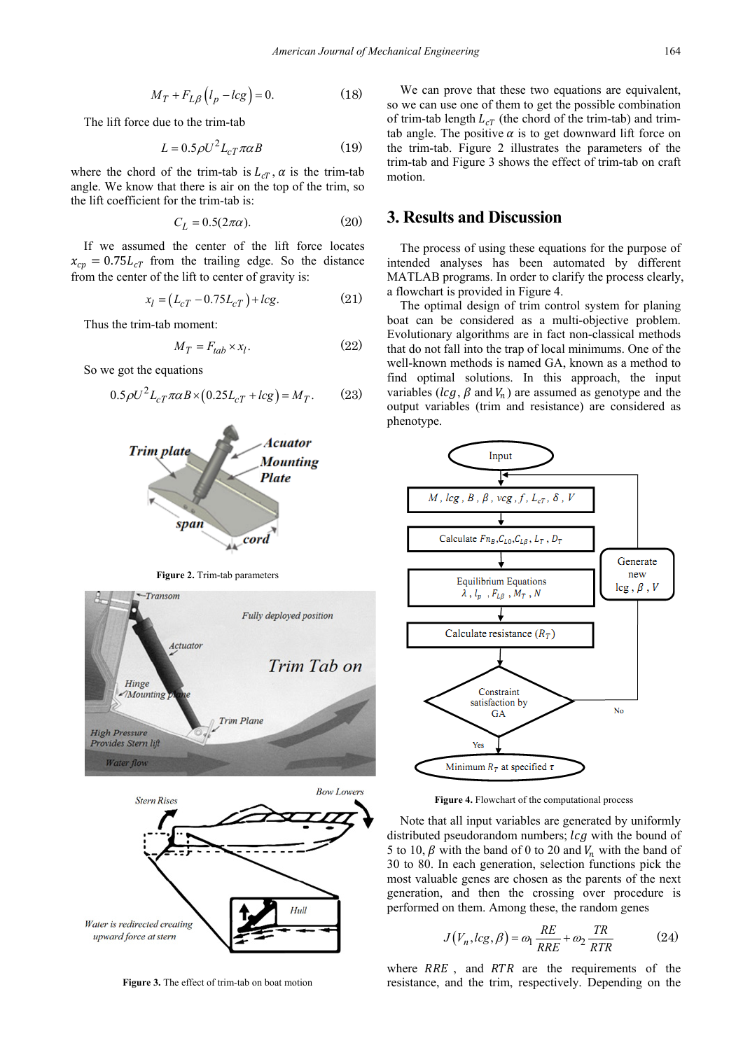$$
M_T + F_{L\beta} \left( l_p - lcg \right) = 0. \tag{18}
$$

The lift force due to the trim-tab

$$
L = 0.5 \rho U^2 L_{cT} \pi \alpha B \tag{19}
$$

where the chord of the trim-tab is  $L_{cT}$ ,  $\alpha$  is the trim-tab angle. We know that there is air on the top of the trim, so the lift coefficient for the trim-tab is:

$$
C_L = 0.5(2\pi\alpha). \tag{20}
$$

If we assumed the center of the lift force locates  $x_{cp} = 0.75 L_{cT}$  from the trailing edge. So the distance from the center of the lift to center of gravity is:

$$
x_l = (L_{cT} - 0.75L_{cT}) + lcg.
$$
 (21)

Thus the trim-tab moment:

$$
M_T = F_{tab} \times x_l. \tag{22}
$$

So we got the equations

$$
0.5\rho U^2 L_{cT} \pi \alpha B \times (0.25 L_{cT} + l c g) = M_T. \tag{23}
$$









**Figure 3.** The effect of trim-tab on boat motion

We can prove that these two equations are equivalent, so we can use one of them to get the possible combination of trim-tab length  $L_{cT}$  (the chord of the trim-tab) and trimtab angle. The positive  $\alpha$  is to get downward lift force on the trim-tab. Figure 2 illustrates the parameters of the trim-tab and Figure 3 shows the effect of trim-tab on craft motion.

## **3. Results and Discussion**

The process of using these equations for the purpose of intended analyses has been automated by different MATLAB programs. In order to clarify the process clearly, a flowchart is provided in Figure 4.

The optimal design of trim control system for planing boat can be considered as a multi-objective problem. Evolutionary algorithms are in fact non-classical methods that do not fall into the trap of local minimums. One of the well-known methods is named GA, known as a method to find optimal solutions. In this approach, the input variables ( $l c g$ ,  $\beta$  and  $V_n$ ) are assumed as genotype and the output variables (trim and resistance) are considered as phenotype.



**Figure 4.** Flowchart of the computational process

Note that all input variables are generated by uniformly distributed pseudorandom numbers;  $\log$  with the bound of 5 to 10,  $\beta$  with the band of 0 to 20 and  $V_n$  with the band of 30 to 80. In each generation, selection functions pick the most valuable genes are chosen as the parents of the next generation, and then the crossing over procedure is performed on them. Among these, the random genes

$$
J(V_n, lcg, \beta) = \omega_1 \frac{RE}{RRE} + \omega_2 \frac{TR}{RTR}
$$
 (24)

where  $RRE$ , and  $RTR$  are the requirements of the resistance, and the trim, respectively. Depending on the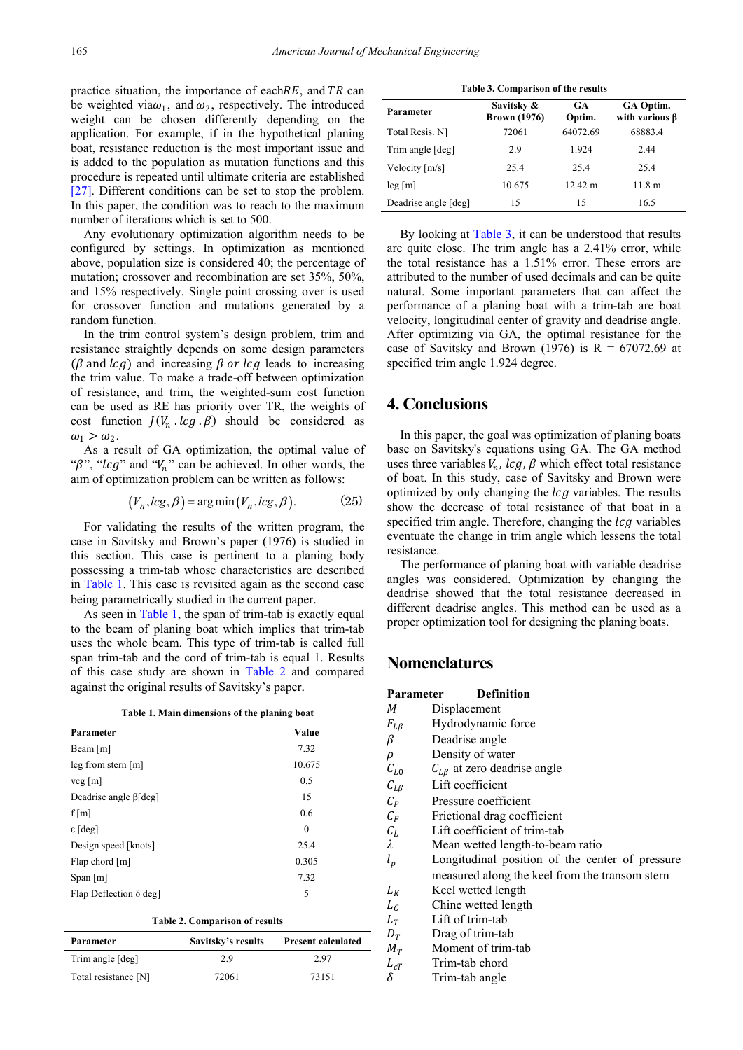practice situation, the importance of each  $RE$ , and  $TR$  can be weighted via $\omega_1$ , and  $\omega_2$ , respectively. The introduced weight can be chosen differently depending on the application. For example, if in the hypothetical planing boat, resistance reduction is the most important issue and is added to the population as mutation functions and this procedure is repeated until ultimate criteria are established [\[27\].](#page-5-17) Different conditions can be set to stop the problem. In this paper, the condition was to reach to the maximum number of iterations which is set to 500.

Any evolutionary optimization algorithm needs to be configured by settings. In optimization as mentioned above, population size is considered 40; the percentage of mutation; crossover and recombination are set 35%, 50%, and 15% respectively. Single point crossing over is used for crossover function and mutations generated by a random function.

In the trim control system's design problem, trim and resistance straightly depends on some design parameters ( $\beta$  and  $\log$ ) and increasing  $\beta$  or  $\log$  leads to increasing the trim value. To make a trade-off between optimization of resistance, and trim, the weighted-sum cost function can be used as RE has priority over TR, the weights of cost function  $J(V_n \cdot lcg \cdot \beta)$  should be considered as  $\omega_1 > \omega_2$ .

As a result of GA optimization, the optimal value of " $\beta$ ", "lcg" and " $V_n$ " can be achieved. In other words, the aim of optimization problem can be written as follows:

$$
(V_n, lcg, \beta) = \arg\min(V_n, lcg, \beta).
$$
 (25)

For validating the results of the written program, the case in Savitsky and Brown's paper (1976) is studied in this section. This case is pertinent to a planing body possessing a trim-tab whose characteristics are described in [Table 1.](#page-4-0) This case is revisited again as the second case being parametrically studied in the current paper.

As seen in [Table 1,](#page-4-0) the span of trim-tab is exactly equal to the beam of planing boat which implies that trim-tab uses the whole beam. This type of trim-tab is called full span trim-tab and the cord of trim-tab is equal 1. Results of this case study are shown in [Table 2](#page-4-1) and compared against the original results of Savitsky's paper.

|  |  |  |  | Table 1. Main dimensions of the planing boat |  |  |  |  |  |
|--|--|--|--|----------------------------------------------|--|--|--|--|--|
|--|--|--|--|----------------------------------------------|--|--|--|--|--|

<span id="page-4-0"></span>

| Value<br>Parameter                    |          |  |
|---------------------------------------|----------|--|
| Beam $[m]$                            | 7.32     |  |
| $\log$ from stern $[m]$               | 10.675   |  |
| $vcg$ [m]                             | 0.5      |  |
| Deadrise angle $\beta$ [deg]          | 15       |  |
| f[m]                                  | 0.6      |  |
| $\epsilon$ [deg]                      | $\theta$ |  |
| Design speed [knots]                  | 25.4     |  |
| Flap chord $[m]$                      | 0.305    |  |
| Span $[m]$                            | 7.32     |  |
| Flap Deflection $\delta$ deg]         | 5        |  |
| <b>Table 2. Comparison of results</b> |          |  |

<span id="page-4-1"></span>

| Table 2. Comparison of results |                    |                           |  |
|--------------------------------|--------------------|---------------------------|--|
| Parameter                      | Savitsky's results | <b>Present calculated</b> |  |
| Trim angle [deg]               | 29                 | 2.97                      |  |
| Total resistance [N]           | 72061              | 73151                     |  |

**Table 3. Comparison of the results** 

<span id="page-4-2"></span>

| Parameter            | Savitsky &<br><b>Brown</b> (1976) | GA<br>Optim.      | GA Optim.<br>with various <b>B</b> |
|----------------------|-----------------------------------|-------------------|------------------------------------|
| Total Resis. N1      | 72061                             | 64072.69          | 68883.4                            |
| Trim angle [deg]     | 2.9                               | 1.924             | 2.44                               |
| Velocity [m/s]       | 25.4                              | 25.4              | 25.4                               |
| $\log[m]$            | 10.675                            | $12.42 \text{ m}$ | 11.8 <sub>m</sub>                  |
| Deadrise angle [deg] | 15                                | 15                | 16.5                               |

By looking at [Table 3,](#page-4-2) it can be understood that results are quite close. The trim angle has a 2.41% error, while the total resistance has a 1.51% error. These errors are attributed to the number of used decimals and can be quite natural. Some important parameters that can affect the performance of a planing boat with a trim-tab are boat velocity, longitudinal center of gravity and deadrise angle. After optimizing via GA, the optimal resistance for the case of Savitsky and Brown (1976) is  $R = 67072.69$  at specified trim angle 1.924 degree.

## **4. Conclusions**

In this paper, the goal was optimization of planing boats base on Savitsky's equations using GA. The GA method uses three variables  $V_n$ ,  $lcg$ ,  $\beta$  which effect total resistance of boat. In this study, case of Savitsky and Brown were optimized by only changing the  $\log$  variables. The results show the decrease of total resistance of that boat in a specified trim angle. Therefore, changing the  $\log$  variables eventuate the change in trim angle which lessens the total resistance.

The performance of planing boat with variable deadrise angles was considered. Optimization by changing the deadrise showed that the total resistance decreased in different deadrise angles. This method can be used as a proper optimization tool for designing the planing boats.

## **Nomenclatures**

| Parameter              | <b>Definition</b>                               |  |  |  |
|------------------------|-------------------------------------------------|--|--|--|
| М                      | Displacement                                    |  |  |  |
| $F_{L\beta}$           | Hydrodynamic force                              |  |  |  |
| β                      | Deadrise angle                                  |  |  |  |
| $\rho$                 | Density of water                                |  |  |  |
| $C_{L0}$               | $C_{LB}$ at zero deadrise angle                 |  |  |  |
| $\mathcal{C}_{L\beta}$ | Lift coefficient                                |  |  |  |
| $C_p$                  | Pressure coefficient                            |  |  |  |
| $C_F$                  | Frictional drag coefficient                     |  |  |  |
| $C_L$                  | Lift coefficient of trim-tab                    |  |  |  |
| λ                      | Mean wetted length-to-beam ratio                |  |  |  |
| $l_p$                  | Longitudinal position of the center of pressure |  |  |  |
|                        | measured along the keel from the transom stern  |  |  |  |
| $L_K$                  | Keel wetted length                              |  |  |  |
| $L_{\mathcal{C}}$      | Chine wetted length                             |  |  |  |
| $L_T$                  | Lift of trim-tab                                |  |  |  |
| $D_T$                  | Drag of trim-tab                                |  |  |  |
| $M_T$                  | Moment of trim-tab                              |  |  |  |
| $L_{cT}$               | Trim-tab chord                                  |  |  |  |
| δ                      | Trim-tab angle                                  |  |  |  |
|                        |                                                 |  |  |  |